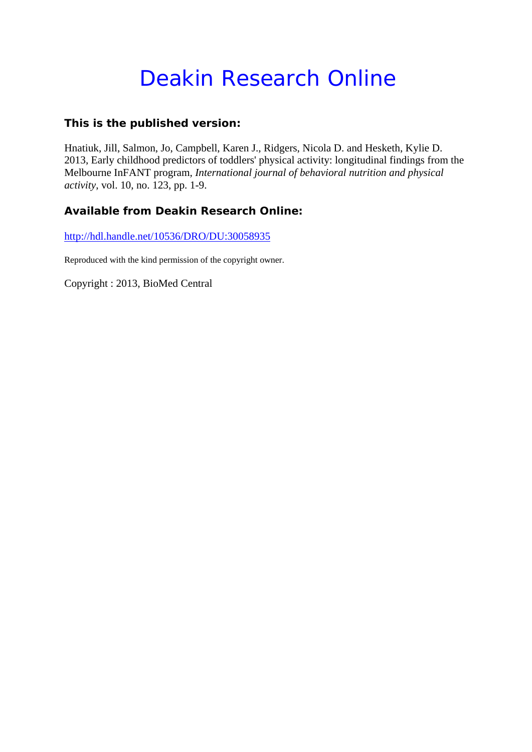# Deakin Research Online

### **This is the published version:**

Hnatiuk, Jill, Salmon, Jo, Campbell, Karen J., Ridgers, Nicola D. and Hesketh, Kylie D. 2013, Early childhood predictors of toddlers' physical activity: longitudinal findings from the Melbourne InFANT program*, International journal of behavioral nutrition and physical activity*, vol. 10, no. 123, pp. 1-9.

## **Available from Deakin Research Online:**

http://hdl.handle.net/10536/DRO/DU:30058935

Reproduced with the kind permission of the copyright owner.

Copyright : 2013, BioMed Central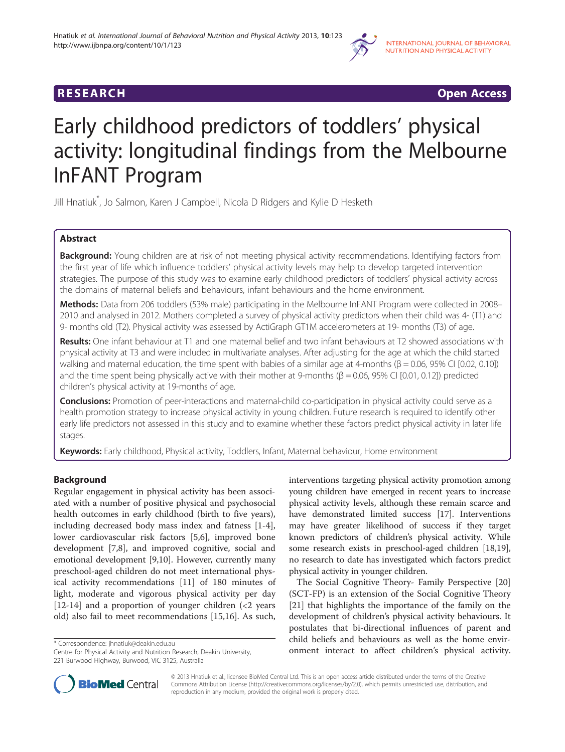

**RESEARCH CHINESE ARCH CHINESE ARCH CHINESE ARCH <b>CHINESE ARCH** 

# Early childhood predictors of toddlers' physical activity: longitudinal findings from the Melbourne InFANT Program

Jill Hnatiuk\* , Jo Salmon, Karen J Campbell, Nicola D Ridgers and Kylie D Hesketh

### Abstract

Background: Young children are at risk of not meeting physical activity recommendations. Identifying factors from the first year of life which influence toddlers' physical activity levels may help to develop targeted intervention strategies. The purpose of this study was to examine early childhood predictors of toddlers' physical activity across the domains of maternal beliefs and behaviours, infant behaviours and the home environment.

Methods: Data from 206 toddlers (53% male) participating in the Melbourne InFANT Program were collected in 2008– 2010 and analysed in 2012. Mothers completed a survey of physical activity predictors when their child was 4- (T1) and 9- months old (T2). Physical activity was assessed by ActiGraph GT1M accelerometers at 19- months (T3) of age.

Results: One infant behaviour at T1 and one maternal belief and two infant behaviours at T2 showed associations with physical activity at T3 and were included in multivariate analyses. After adjusting for the age at which the child started walking and maternal education, the time spent with babies of a similar age at 4-months (β = 0.06, 95% CI [0.02, 0.10]) and the time spent being physically active with their mother at 9-months (β = 0.06, 95% CI [0.01, 0.12]) predicted children's physical activity at 19-months of age.

**Conclusions:** Promotion of peer-interactions and maternal-child co-participation in physical activity could serve as a health promotion strategy to increase physical activity in young children. Future research is required to identify other early life predictors not assessed in this study and to examine whether these factors predict physical activity in later life stages.

Keywords: Early childhood, Physical activity, Toddlers, Infant, Maternal behaviour, Home environment

#### Background

Regular engagement in physical activity has been associated with a number of positive physical and psychosocial health outcomes in early childhood (birth to five years), including decreased body mass index and fatness [[1-4](#page-8-0)], lower cardiovascular risk factors [[5,6\]](#page-8-0), improved bone development [[7](#page-8-0),[8](#page-8-0)], and improved cognitive, social and emotional development [\[9,10](#page-8-0)]. However, currently many preschool-aged children do not meet international physical activity recommendations [[11](#page-8-0)] of 180 minutes of light, moderate and vigorous physical activity per day [[12-14](#page-8-0)] and a proportion of younger children  $\langle$  <2 years old) also fail to meet recommendations [\[15,16\]](#page-8-0). As such,

Centre for Physical Activity and Nutrition Research, Deakin University, 221 Burwood Highway, Burwood, VIC 3125, Australia



The Social Cognitive Theory- Family Perspective [[20](#page-8-0)] (SCT-FP) is an extension of the Social Cognitive Theory [[21\]](#page-8-0) that highlights the importance of the family on the development of children's physical activity behaviours. It postulates that bi-directional influences of parent and child beliefs and behaviours as well as the home envir\* Correspondence: [jhnatiuk@deakin.edu.au](mailto:jhnatiuk@deakin.edu.au) exactor, Deakin University, and the matrice children's physical activity.<br>Centre for Physical Activity and Nutrition Research, Deakin University, **onment interact to affect children** 



© 2013 Hnatiuk et al.; licensee BioMed Central Ltd. This is an open access article distributed under the terms of the Creative Commons Attribution License [\(http://creativecommons.org/licenses/by/2.0\)](http://creativecommons.org/licenses/by/2.0), which permits unrestricted use, distribution, and reproduction in any medium, provided the original work is properly cited.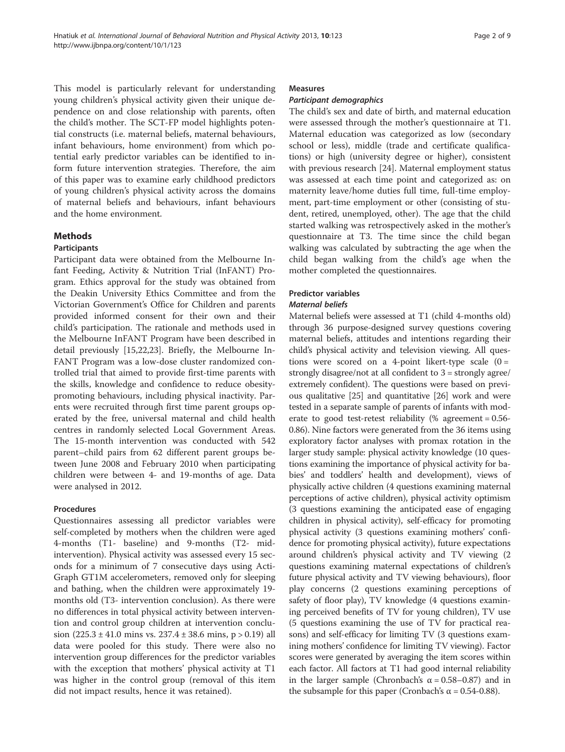This model is particularly relevant for understanding young children's physical activity given their unique dependence on and close relationship with parents, often the child's mother. The SCT-FP model highlights potential constructs (i.e. maternal beliefs, maternal behaviours, infant behaviours, home environment) from which potential early predictor variables can be identified to inform future intervention strategies. Therefore, the aim of this paper was to examine early childhood predictors of young children's physical activity across the domains of maternal beliefs and behaviours, infant behaviours and the home environment.

#### Methods

#### Participants

Participant data were obtained from the Melbourne Infant Feeding, Activity & Nutrition Trial (InFANT) Program. Ethics approval for the study was obtained from the Deakin University Ethics Committee and from the Victorian Government's Office for Children and parents provided informed consent for their own and their child's participation. The rationale and methods used in the Melbourne InFANT Program have been described in detail previously [\[15,22,23](#page-8-0)]. Briefly, the Melbourne In-FANT Program was a low-dose cluster randomized controlled trial that aimed to provide first-time parents with the skills, knowledge and confidence to reduce obesitypromoting behaviours, including physical inactivity. Parents were recruited through first time parent groups operated by the free, universal maternal and child health centres in randomly selected Local Government Areas. The 15-month intervention was conducted with 542 parent–child pairs from 62 different parent groups between June 2008 and February 2010 when participating children were between 4- and 19-months of age. Data were analysed in 2012.

#### Procedures

Questionnaires assessing all predictor variables were self-completed by mothers when the children were aged 4-months (T1- baseline) and 9-months (T2- midintervention). Physical activity was assessed every 15 seconds for a minimum of 7 consecutive days using Acti-Graph GT1M accelerometers, removed only for sleeping and bathing, when the children were approximately 19 months old (T3- intervention conclusion). As there were no differences in total physical activity between intervention and control group children at intervention conclusion (225.3 ± 41.0 mins vs. 237.4 ± 38.6 mins, p > 0.19) all data were pooled for this study. There were also no intervention group differences for the predictor variables with the exception that mothers' physical activity at T1 was higher in the control group (removal of this item did not impact results, hence it was retained).

#### Measures

#### Participant demographics

The child's sex and date of birth, and maternal education were assessed through the mother's questionnaire at T1. Maternal education was categorized as low (secondary school or less), middle (trade and certificate qualifications) or high (university degree or higher), consistent with previous research [\[24\]](#page-8-0). Maternal employment status was assessed at each time point and categorized as: on maternity leave/home duties full time, full-time employment, part-time employment or other (consisting of student, retired, unemployed, other). The age that the child started walking was retrospectively asked in the mother's questionnaire at T3. The time since the child began walking was calculated by subtracting the age when the child began walking from the child's age when the mother completed the questionnaires.

#### Predictor variables

### Maternal beliefs

Maternal beliefs were assessed at T1 (child 4-months old) through 36 purpose-designed survey questions covering maternal beliefs, attitudes and intentions regarding their child's physical activity and television viewing. All questions were scored on a 4-point likert-type scale  $(0 =$ strongly disagree/not at all confident to 3 = strongly agree/ extremely confident). The questions were based on previous qualitative [[25](#page-8-0)] and quantitative [\[26\]](#page-8-0) work and were tested in a separate sample of parents of infants with moderate to good test-retest reliability (% agreement  $= 0.56$ -0.86). Nine factors were generated from the 36 items using exploratory factor analyses with promax rotation in the larger study sample: physical activity knowledge (10 questions examining the importance of physical activity for babies' and toddlers' health and development), views of physically active children (4 questions examining maternal perceptions of active children), physical activity optimism (3 questions examining the anticipated ease of engaging children in physical activity), self-efficacy for promoting physical activity (3 questions examining mothers' confidence for promoting physical activity), future expectations around children's physical activity and TV viewing (2 questions examining maternal expectations of children's future physical activity and TV viewing behaviours), floor play concerns (2 questions examining perceptions of safety of floor play), TV knowledge (4 questions examining perceived benefits of TV for young children), TV use (5 questions examining the use of TV for practical reasons) and self-efficacy for limiting TV (3 questions examining mothers' confidence for limiting TV viewing). Factor scores were generated by averaging the item scores within each factor. All factors at T1 had good internal reliability in the larger sample (Chronbach's  $\alpha = 0.58 - 0.87$ ) and in the subsample for this paper (Cronbach's α = 0.54-0.88).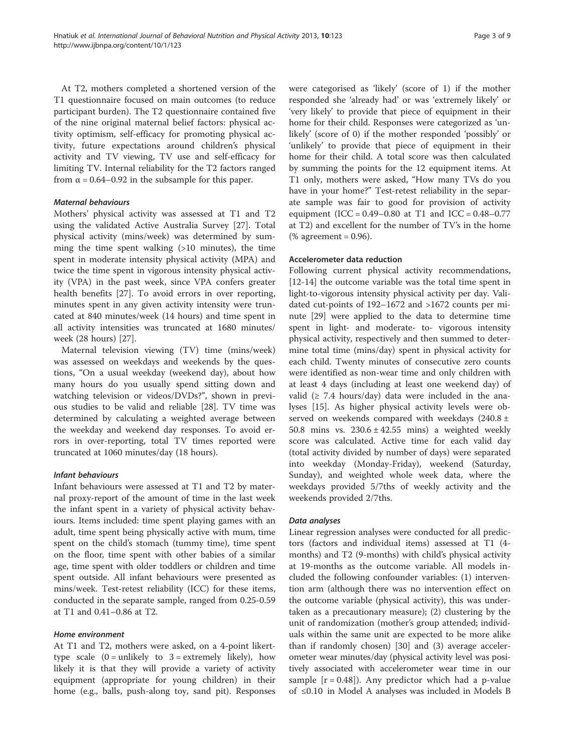At T2, mothers completed a shortened version of the T1 questionnaire focused on main outcomes (to reduce participant burden). The T2 questionnaire contained five of the nine original maternal belief factors: physical activity optimism, self-efficacy for promoting physical activity, future expectations around children's physical activity and TV viewing, TV use and self-efficacy for limiting TV. Internal reliability for the T2 factors ranged from  $\alpha$  = 0.64–0.92 in the subsample for this paper.

#### Maternal behaviours

Mothers' physical activity was assessed at T1 and T2 using the validated Active Australia Survey [\[27\]](#page-8-0). Total physical activity (mins/week) was determined by summing the time spent walking  $(>10$  minutes), the time spent in moderate intensity physical activity (MPA) and twice the time spent in vigorous intensity physical activity (VPA) in the past week, since VPA confers greater health benefits [[27](#page-8-0)]. To avoid errors in over reporting, minutes spent in any given activity intensity were truncated at 840 minutes/week (14 hours) and time spent in all activity intensities was truncated at 1680 minutes/ week (28 hours) [[27](#page-8-0)].

Maternal television viewing (TV) time (mins/week) was assessed on weekdays and weekends by the questions, "On a usual weekday (weekend day), about how many hours do you usually spend sitting down and watching television or videos/DVDs?", shown in previous studies to be valid and reliable [\[28\]](#page-8-0). TV time was determined by calculating a weighted average between the weekday and weekend day responses. To avoid errors in over-reporting, total TV times reported were truncated at 1060 minutes/day (18 hours).

#### Infant behaviours

Infant behaviours were assessed at T1 and T2 by maternal proxy-report of the amount of time in the last week the infant spent in a variety of physical activity behaviours. Items included: time spent playing games with an adult, time spent being physically active with mum, time spent on the child's stomach (tummy time), time spent on the floor, time spent with other babies of a similar age, time spent with older toddlers or children and time spent outside. All infant behaviours were presented as mins/week. Test-retest reliability (ICC) for these items, conducted in the separate sample, ranged from 0.25-0.59 at T1 and 0.41–0.86 at T2.

#### Home environment

At T1 and T2, mothers were asked, on a 4-point likerttype scale  $(0 = \text{unlikely to } 3 = \text{extremely likely})$ , how likely it is that they will provide a variety of activity equipment (appropriate for young children) in their home (e.g., balls, push-along toy, sand pit). Responses

were categorised as 'likely' (score of 1) if the mother responded she 'already had' or was 'extremely likely' or 'very likely' to provide that piece of equipment in their home for their child. Responses were categorized as 'unlikely' (score of 0) if the mother responded 'possibly' or 'unlikely' to provide that piece of equipment in their home for their child. A total score was then calculated by summing the points for the 12 equipment items. At T1 only, mothers were asked, "How many TVs do you have in your home?" Test-retest reliability in the separate sample was fair to good for provision of activity equipment (ICC =  $0.49 - 0.80$  at T1 and ICC =  $0.48 - 0.77$ at T2) and excellent for the number of TV's in the home (% agreement =  $0.96$ ).

#### Accelerometer data reduction

Following current physical activity recommendations, [[12-14](#page-8-0)] the outcome variable was the total time spent in light-to-vigorous intensity physical activity per day. Validated cut-points of 192–1672 and >1672 counts per minute [\[29\]](#page-8-0) were applied to the data to determine time spent in light- and moderate- to- vigorous intensity physical activity, respectively and then summed to determine total time (mins/day) spent in physical activity for each child. Twenty minutes of consecutive zero counts were identified as non-wear time and only children with at least 4 days (including at least one weekend day) of valid ( $\geq$  7.4 hours/day) data were included in the analyses [\[15\]](#page-8-0). As higher physical activity levels were observed on weekends compared with weekdays (240.8 ± 50.8 mins vs.  $230.6 \pm 42.55$  mins) a weighted weekly score was calculated. Active time for each valid day (total activity divided by number of days) were separated into weekday (Monday-Friday), weekend (Saturday, Sunday), and weighted whole week data, where the weekdays provided 5/7ths of weekly activity and the weekends provided 2/7ths.

#### Data analyses

Linear regression analyses were conducted for all predictors (factors and individual items) assessed at T1 (4 months) and T2 (9-months) with child's physical activity at 19-months as the outcome variable. All models included the following confounder variables: (1) intervention arm (although there was no intervention effect on the outcome variable (physical activity), this was undertaken as a precautionary measure); (2) clustering by the unit of randomization (mother's group attended; individuals within the same unit are expected to be more alike than if randomly chosen) [[30\]](#page-8-0) and (3) average accelerometer wear minutes/day (physical activity level was positively associated with accelerometer wear time in our sample  $[r = 0.48]$ ). Any predictor which had a p-value of ≤0.10 in Model A analyses was included in Models B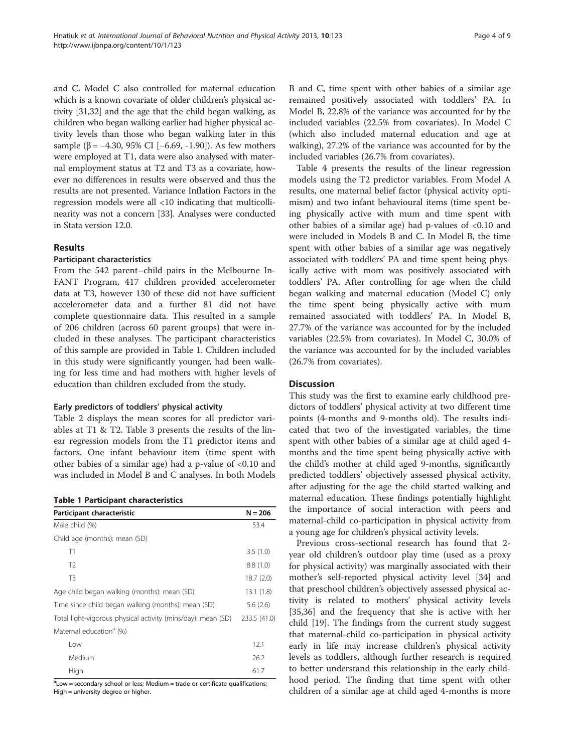and C. Model C also controlled for maternal education which is a known covariate of older children's physical activity [[31,32](#page-8-0)] and the age that the child began walking, as children who began walking earlier had higher physical activity levels than those who began walking later in this sample (β =  $-4.30$ , 95% CI [ $-6.69$ ,  $-1.90$ ]). As few mothers were employed at T1, data were also analysed with maternal employment status at T2 and T3 as a covariate, however no differences in results were observed and thus the results are not presented. Variance Inflation Factors in the regression models were all <10 indicating that multicollinearity was not a concern [\[33\]](#page-8-0). Analyses were conducted in Stata version 12.0.

#### Results

#### Participant characteristics

From the 542 parent–child pairs in the Melbourne In-FANT Program, 417 children provided accelerometer data at T3, however 130 of these did not have sufficient accelerometer data and a further 81 did not have complete questionnaire data. This resulted in a sample of 206 children (across 60 parent groups) that were included in these analyses. The participant characteristics of this sample are provided in Table 1. Children included in this study were significantly younger, had been walking for less time and had mothers with higher levels of education than children excluded from the study.

#### Early predictors of toddlers' physical activity

Table [2](#page-5-0) displays the mean scores for all predictor variables at T1 & T2. Table [3](#page-6-0) presents the results of the linear regression models from the T1 predictor items and factors. One infant behaviour item (time spent with other babies of a similar age) had a p-value of <0.10 and was included in Model B and C analyses. In both Models

#### Table 1 Participant characteristics

| Participant characteristic                                   | $N = 206$    |
|--------------------------------------------------------------|--------------|
| Male child (%)                                               | 53.4         |
| Child age (months): mean (SD)                                |              |
| T1                                                           | 3.5(1.0)     |
| T <sub>2</sub>                                               | 8.8(1.0)     |
| T <sub>3</sub>                                               | 18.7 (2.0)   |
| Age child began walking (months): mean (SD)                  | 13.1 (1.8)   |
| Time since child began walking (months): mean (SD)           | 5.6(2.6)     |
| Total light-vigorous physical activity (mins/day): mean (SD) | 233.5 (41.0) |
| Maternal education <sup>a</sup> (%)                          |              |
| Low                                                          | 12.1         |
| Medium                                                       | 26.2         |
| High                                                         | 61.7         |

<sup>a</sup>Low = secondary school or less; Medium = trade or certificate qualifications; High = university degree or higher.

B and C, time spent with other babies of a similar age remained positively associated with toddlers' PA. In Model B, 22.8% of the variance was accounted for by the included variables (22.5% from covariates). In Model C (which also included maternal education and age at walking), 27.2% of the variance was accounted for by the included variables (26.7% from covariates).

Table [4](#page-7-0) presents the results of the linear regression models using the T2 predictor variables. From Model A results, one maternal belief factor (physical activity optimism) and two infant behavioural items (time spent being physically active with mum and time spent with other babies of a similar age) had p-values of <0.10 and were included in Models B and C. In Model B, the time spent with other babies of a similar age was negatively associated with toddlers' PA and time spent being physically active with mom was positively associated with toddlers' PA. After controlling for age when the child began walking and maternal education (Model C) only the time spent being physically active with mum remained associated with toddlers' PA. In Model B, 27.7% of the variance was accounted for by the included variables (22.5% from covariates). In Model C, 30.0% of the variance was accounted for by the included variables (26.7% from covariates).

#### **Discussion**

This study was the first to examine early childhood predictors of toddlers' physical activity at two different time points (4-months and 9-months old). The results indicated that two of the investigated variables, the time spent with other babies of a similar age at child aged 4 months and the time spent being physically active with the child's mother at child aged 9-months, significantly predicted toddlers' objectively assessed physical activity, after adjusting for the age the child started walking and maternal education. These findings potentially highlight the importance of social interaction with peers and maternal-child co-participation in physical activity from a young age for children's physical activity levels.

Previous cross-sectional research has found that 2 year old children's outdoor play time (used as a proxy for physical activity) was marginally associated with their mother's self-reported physical activity level [[34\]](#page-8-0) and that preschool children's objectively assessed physical activity is related to mothers' physical activity levels [[35,36\]](#page-8-0) and the frequency that she is active with her child [[19\]](#page-8-0). The findings from the current study suggest that maternal-child co-participation in physical activity early in life may increase children's physical activity levels as toddlers, although further research is required to better understand this relationship in the early childhood period. The finding that time spent with other children of a similar age at child aged 4-months is more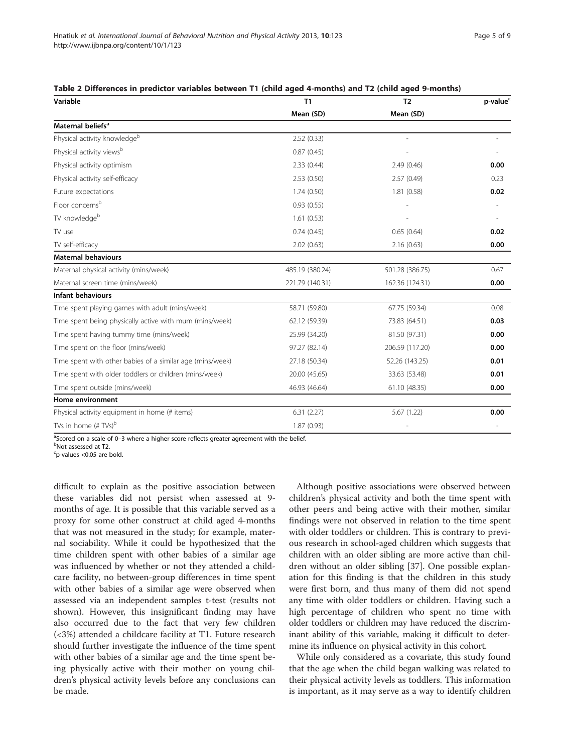| Variable                                                  | T1              | T <sub>2</sub>  | p-value <sup>c</sup> |
|-----------------------------------------------------------|-----------------|-----------------|----------------------|
|                                                           | Mean (SD)       | Mean (SD)       |                      |
| Maternal beliefs <sup>a</sup>                             |                 |                 |                      |
| Physical activity knowledgeb                              | 2.52(0.33)      |                 |                      |
| Physical activity views <sup>b</sup>                      | 0.87(0.45)      |                 |                      |
| Physical activity optimism                                | 2.33(0.44)      | 2.49(0.46)      | 0.00                 |
| Physical activity self-efficacy                           | 2.53(0.50)      | 2.57(0.49)      | 0.23                 |
| Future expectations                                       | 1.74(0.50)      | 1.81(0.58)      | 0.02                 |
| Floor concerns <sup>b</sup>                               | 0.93(0.55)      |                 |                      |
| TV knowledgeb                                             | 1.61(0.53)      |                 |                      |
| TV use                                                    | 0.74(0.45)      | 0.65(0.64)      | 0.02                 |
| TV self-efficacy                                          | 2.02(0.63)      | 2.16(0.63)      | 0.00                 |
| <b>Maternal behaviours</b>                                |                 |                 |                      |
| Maternal physical activity (mins/week)                    | 485.19 (380.24) | 501.28 (386.75) | 0.67                 |
| Maternal screen time (mins/week)                          | 221.79 (140.31) | 162.36 (124.31) | 0.00                 |
| <b>Infant behaviours</b>                                  |                 |                 |                      |
| Time spent playing games with adult (mins/week)           | 58.71 (59.80)   | 67.75 (59.34)   | 0.08                 |
| Time spent being physically active with mum (mins/week)   | 62.12 (59.39)   | 73.83 (64.51)   | 0.03                 |
| Time spent having tummy time (mins/week)                  | 25.99 (34.20)   | 81.50 (97.31)   | 0.00                 |
| Time spent on the floor (mins/week)                       | 97.27 (82.14)   | 206.59 (117.20) | 0.00                 |
| Time spent with other babies of a similar age (mins/week) | 27.18 (50.34)   | 52.26 (143.25)  | 0.01                 |
| Time spent with older toddlers or children (mins/week)    | 20.00 (45.65)   | 33.63 (53.48)   | 0.01                 |
| Time spent outside (mins/week)                            | 46.93 (46.64)   | 61.10 (48.35)   | 0.00                 |
| Home environment                                          |                 |                 |                      |
| Physical activity equipment in home (# items)             | 6.31(2.27)      | 5.67 (1.22)     | 0.00                 |
| TVs in home $(HTVs)^b$                                    | 1.87(0.93)      |                 |                      |

<span id="page-5-0"></span>

| Table 2 Differences in predictor variables between T1 (child aged 4-months) and T2 (child aged 9-months) |  |  |  |  |  |
|----------------------------------------------------------------------------------------------------------|--|--|--|--|--|
|----------------------------------------------------------------------------------------------------------|--|--|--|--|--|

<sup>a</sup>Scored on a scale of 0–3 where a higher score reflects greater agreement with the belief.<br><sup>b</sup>Not assessed at T2

Not assessed at T2.

<sup>c</sup>p-values <0.05 are bold.

difficult to explain as the positive association between these variables did not persist when assessed at 9 months of age. It is possible that this variable served as a proxy for some other construct at child aged 4-months that was not measured in the study; for example, maternal sociability. While it could be hypothesized that the time children spent with other babies of a similar age was influenced by whether or not they attended a childcare facility, no between-group differences in time spent with other babies of a similar age were observed when assessed via an independent samples t-test (results not shown). However, this insignificant finding may have also occurred due to the fact that very few children (<3%) attended a childcare facility at T1. Future research should further investigate the influence of the time spent with other babies of a similar age and the time spent being physically active with their mother on young children's physical activity levels before any conclusions can be made.

Although positive associations were observed between children's physical activity and both the time spent with other peers and being active with their mother, similar findings were not observed in relation to the time spent with older toddlers or children. This is contrary to previous research in school-aged children which suggests that children with an older sibling are more active than children without an older sibling [[37\]](#page-8-0). One possible explanation for this finding is that the children in this study were first born, and thus many of them did not spend any time with older toddlers or children. Having such a high percentage of children who spent no time with older toddlers or children may have reduced the discriminant ability of this variable, making it difficult to determine its influence on physical activity in this cohort.

While only considered as a covariate, this study found that the age when the child began walking was related to their physical activity levels as toddlers. This information is important, as it may serve as a way to identify children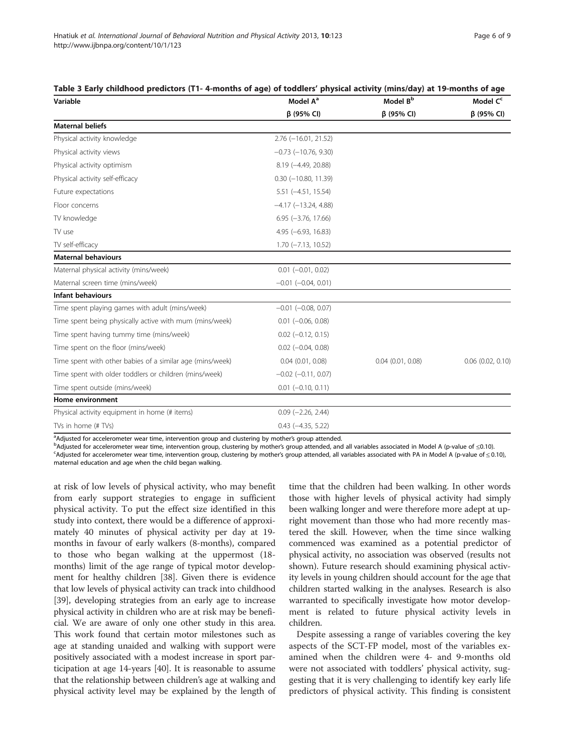| Variable                                                  | Model A <sup>a</sup>          | Model B <sup>b</sup>  | Model C <sup>c</sup>  |  |
|-----------------------------------------------------------|-------------------------------|-----------------------|-----------------------|--|
|                                                           | $\beta$ (95% CI)              | $\beta$ (95% CI)      | $\beta$ (95% CI)      |  |
| <b>Maternal beliefs</b>                                   |                               |                       |                       |  |
| Physical activity knowledge                               | $2.76$ (-16.01, 21.52)        |                       |                       |  |
| Physical activity views                                   | $-0.73$ $(-10.76, 9.30)$      |                       |                       |  |
| Physical activity optimism                                | $8.19(-4.49, 20.88)$          |                       |                       |  |
| Physical activity self-efficacy                           | $0.30$ ( $-10.80$ , $11.39$ ) |                       |                       |  |
| Future expectations                                       | $5.51 (-4.51, 15.54)$         |                       |                       |  |
| Floor concerns                                            | $-4.17$ ( $-13.24$ , 4.88)    |                       |                       |  |
| TV knowledge                                              | $6.95 (-3.76, 17.66)$         |                       |                       |  |
| TV use                                                    | $4.95 (-6.93, 16.83)$         |                       |                       |  |
| TV self-efficacy                                          | $1.70$ ( $-7.13$ , $10.52$ )  |                       |                       |  |
| <b>Maternal behaviours</b>                                |                               |                       |                       |  |
| Maternal physical activity (mins/week)                    | $0.01$ $(-0.01, 0.02)$        |                       |                       |  |
| Maternal screen time (mins/week)                          | $-0.01$ $(-0.04, 0.01)$       |                       |                       |  |
| <b>Infant behaviours</b>                                  |                               |                       |                       |  |
| Time spent playing games with adult (mins/week)           | $-0.01$ $(-0.08, 0.07)$       |                       |                       |  |
| Time spent being physically active with mum (mins/week)   | $0.01$ ( $-0.06$ , $0.08$ )   |                       |                       |  |
| Time spent having tummy time (mins/week)                  | $0.02$ ( $-0.12$ , 0.15)      |                       |                       |  |
| Time spent on the floor (mins/week)                       | $0.02$ (-0.04, 0.08)          |                       |                       |  |
| Time spent with other babies of a similar age (mins/week) | $0.04$ $(0.01, 0.08)$         | $0.04$ $(0.01, 0.08)$ | $0.06$ $(0.02, 0.10)$ |  |
| Time spent with older toddlers or children (mins/week)    | $-0.02$ $(-0.11, 0.07)$       |                       |                       |  |
| Time spent outside (mins/week)                            | $0.01$ (-0.10, 0.11)          |                       |                       |  |
| Home environment                                          |                               |                       |                       |  |
| Physical activity equipment in home (# items)             | $0.09$ ( $-2.26$ , $2.44$ )   |                       |                       |  |
| TVs in home (# TVs)                                       | $0.43$ ( $-4.35$ , 5.22)      |                       |                       |  |
|                                                           |                               |                       |                       |  |

#### <span id="page-6-0"></span>Table 3 Early childhood predictors (T1- 4-months of age) of toddlers' physical activity (mins/day) at 19-months of age

a<br>Adjusted for accelerometer wear time, intervention group and clustering by mother's group attended. and the ba

<sup>b</sup>Adjusted for accelerometer wear time, intervention group, clustering by mother's group attended, and all variables associated in Model A (p-value of ≤0.10).

Adjusted for accelerometer wear time, intervention group, clustering by mother's group attended, all variables associated with PA in Model A (p-value of ≤ 0.10), maternal education and age when the child began walking.

at risk of low levels of physical activity, who may benefit from early support strategies to engage in sufficient physical activity. To put the effect size identified in this study into context, there would be a difference of approximately 40 minutes of physical activity per day at 19 months in favour of early walkers (8-months), compared to those who began walking at the uppermost (18 months) limit of the age range of typical motor development for healthy children [\[38\]](#page-8-0). Given there is evidence that low levels of physical activity can track into childhood [[39](#page-9-0)], developing strategies from an early age to increase physical activity in children who are at risk may be beneficial. We are aware of only one other study in this area. This work found that certain motor milestones such as age at standing unaided and walking with support were positively associated with a modest increase in sport participation at age 14-years [[40](#page-9-0)]. It is reasonable to assume that the relationship between children's age at walking and physical activity level may be explained by the length of time that the children had been walking. In other words those with higher levels of physical activity had simply been walking longer and were therefore more adept at upright movement than those who had more recently mastered the skill. However, when the time since walking commenced was examined as a potential predictor of physical activity, no association was observed (results not shown). Future research should examining physical activity levels in young children should account for the age that children started walking in the analyses. Research is also warranted to specifically investigate how motor development is related to future physical activity levels in children.

Despite assessing a range of variables covering the key aspects of the SCT-FP model, most of the variables examined when the children were 4- and 9-months old were not associated with toddlers' physical activity, suggesting that it is very challenging to identify key early life predictors of physical activity. This finding is consistent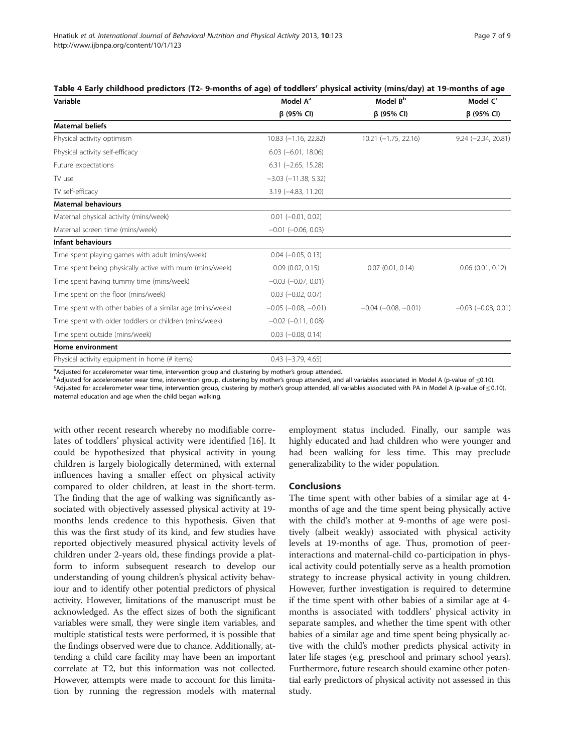| Variable                                                  | Model A <sup>a</sup>         | Model B <sup>b</sup>     | Model C <sup>c</sup><br>$β$ (95% CI) |  |
|-----------------------------------------------------------|------------------------------|--------------------------|--------------------------------------|--|
|                                                           | $\beta$ (95% CI)             | $\beta$ (95% CI)         |                                      |  |
| <b>Maternal beliefs</b>                                   |                              |                          |                                      |  |
| Physical activity optimism                                | $10.83$ (-1.16, 22.82)       | $10.21 (-1.75, 22.16)$   | $9.24 (-2.34, 20.81)$                |  |
| Physical activity self-efficacy                           | $6.03$ ( $-6.01$ , 18.06)    |                          |                                      |  |
| Future expectations                                       | $6.31 (-2.65, 15.28)$        |                          |                                      |  |
| TV use                                                    | $-3.03$ $(-11.38, 5.32)$     |                          |                                      |  |
| TV self-efficacy                                          | $3.19$ ( $-4.83$ , $11.20$ ) |                          |                                      |  |
| <b>Maternal behaviours</b>                                |                              |                          |                                      |  |
| Maternal physical activity (mins/week)                    | $0.01$ $(-0.01, 0.02)$       |                          |                                      |  |
| Maternal screen time (mins/week)                          | $-0.01$ $(-0.06, 0.03)$      |                          |                                      |  |
| Infant behaviours                                         |                              |                          |                                      |  |
| Time spent playing games with adult (mins/week)           | $0.04 (-0.05, 0.13)$         |                          |                                      |  |
| Time spent being physically active with mum (mins/week)   | 0.09(0.02, 0.15)             | $0.07$ $(0.01, 0.14)$    | $0.06$ $(0.01, 0.12)$                |  |
| Time spent having tummy time (mins/week)                  | $-0.03$ $(-0.07, 0.01)$      |                          |                                      |  |
| Time spent on the floor (mins/week)                       | $0.03$ $(-0.02, 0.07)$       |                          |                                      |  |
| Time spent with other babies of a similar age (mins/week) | $-0.05$ $(-0.08, -0.01)$     | $-0.04$ $(-0.08, -0.01)$ | $-0.03$ $(-0.08, 0.01)$              |  |
| Time spent with older toddlers or children (mins/week)    | $-0.02$ ( $-0.11$ , 0.08)    |                          |                                      |  |
| Time spent outside (mins/week)                            | $0.03$ $(-0.08, 0.14)$       |                          |                                      |  |
| Home environment                                          |                              |                          |                                      |  |
| Physical activity equipment in home (# items)             | $0.43$ (-3.79, 4.65)         |                          |                                      |  |

<span id="page-7-0"></span>Table 4 Early childhood predictors (T2- 9-months of age) of toddlers' physical activity (mins/day) at 19-months of age

andjusted for accelerometer wear time, intervention group and clustering by mother's group attended.<br>Padjusted for accelerometer wear time, intervention group, clustering by mother's group attended, and <sup>B</sup>Adjusted for accelerometer wear time, intervention group, clustering by mother's group attended, and all variables associated in Model A (p-value of ≤0.10).

Adjusted for accelerometer wear time, intervention group, clustering by mother's group attended, all variables associated with PA in Model A (p-value of ≤ 0.10), maternal education and age when the child began walking.

with other recent research whereby no modifiable correlates of toddlers' physical activity were identified [\[16](#page-8-0)]. It could be hypothesized that physical activity in young children is largely biologically determined, with external influences having a smaller effect on physical activity compared to older children, at least in the short-term. The finding that the age of walking was significantly associated with objectively assessed physical activity at 19 months lends credence to this hypothesis. Given that this was the first study of its kind, and few studies have reported objectively measured physical activity levels of children under 2-years old, these findings provide a platform to inform subsequent research to develop our understanding of young children's physical activity behaviour and to identify other potential predictors of physical activity. However, limitations of the manuscript must be acknowledged. As the effect sizes of both the significant variables were small, they were single item variables, and multiple statistical tests were performed, it is possible that the findings observed were due to chance. Additionally, attending a child care facility may have been an important correlate at T2, but this information was not collected. However, attempts were made to account for this limitation by running the regression models with maternal

employment status included. Finally, our sample was highly educated and had children who were younger and had been walking for less time. This may preclude generalizability to the wider population.

#### **Conclusions**

The time spent with other babies of a similar age at 4 months of age and the time spent being physically active with the child's mother at 9-months of age were positively (albeit weakly) associated with physical activity levels at 19-months of age. Thus, promotion of peerinteractions and maternal-child co-participation in physical activity could potentially serve as a health promotion strategy to increase physical activity in young children. However, further investigation is required to determine if the time spent with other babies of a similar age at 4 months is associated with toddlers' physical activity in separate samples, and whether the time spent with other babies of a similar age and time spent being physically active with the child's mother predicts physical activity in later life stages (e.g. preschool and primary school years). Furthermore, future research should examine other potential early predictors of physical activity not assessed in this study.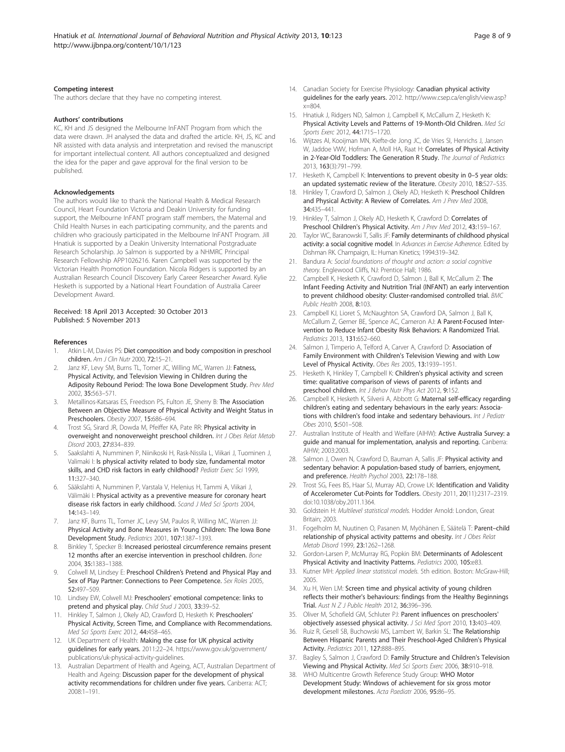#### <span id="page-8-0"></span>Competing interest

The authors declare that they have no competing interest.

#### Authors' contributions

KC, KH and JS designed the Melbourne InFANT Program from which the data were drawn. JH analysed the data and drafted the article. KH, JS, KC and NR assisted with data analysis and interpretation and revised the manuscript for important intellectual content. All authors conceptualized and designed the idea for the paper and gave approval for the final version to be published.

#### Acknowledgements

The authors would like to thank the National Health & Medical Research Council, Heart Foundation Victoria and Deakin University for funding support, the Melbourne InFANT program staff members, the Maternal and Child Health Nurses in each participating community, and the parents and children who graciously participated in the Melbourne InFANT Program. Jill Hnatiuk is supported by a Deakin University International Postgraduate Research Scholarship. Jo Salmon is supported by a NHMRC Principal Research Fellowship APP1026216. Karen Campbell was supported by the Victorian Health Promotion Foundation. Nicola Ridgers is supported by an Australian Research Council Discovery Early Career Researcher Award. Kylie Hesketh is supported by a National Heart Foundation of Australia Career Development Award.

#### Received: 18 April 2013 Accepted: 30 October 2013 Published: 5 November 2013

#### References

- Atkin L-M, Davies PS: Diet composition and body composition in preschool children. Am J Clin Nutr 2000, 72:15–21.
- 2. Janz KF, Levy SM, Burns TL, Torner JC, Willing MC, Warren JJ: Fatness, Physical Activity, and Television Viewing in Children during the Adiposity Rebound Period: The Iowa Bone Development Study. Prev Med 2002, 35:563–571.
- 3. Metallinos-Katsaras ES, Freedson PS, Fulton JE, Sherry B: The Association Between an Objective Measure of Physical Activity and Weight Status in Preschoolers. Obesity 2007, 15:686-694.
- Trost SG, Sirard JR, Dowda M, Pfeiffer KA, Pate RR: Physical activity in overweight and nonoverweight preschool children. Int J Obes Relat Metab Disord 2003, 27:834–839.
- 5. Saakslahti A, Numminen P, Niinikoski H, Rask-Nissila L, Viikari J, Tuominen J, Valimaki I: Is physical activity related to body size, fundamental motor skills, and CHD risk factors in early childhood? Pediatr Exerc Sci 1999, 11:327–340.
- 6. Sääkslahti A, Numminen P, Varstala V, Helenius H, Tammi A, Viikari J, Välimäki I: Physical activity as a preventive measure for coronary heart disease risk factors in early childhood. Scand J Med Sci Sports 2004, 14:143–149.
- 7. Janz KF, Burns TL, Torner JC, Levy SM, Paulos R, Willing MC, Warren JJ: Physical Activity and Bone Measures in Young Children: The Iowa Bone Development Study. Pediatrics 2001, 107:1387–1393.
- 8. Binkley T, Specker B: Increased periosteal circumference remains present 12 months after an exercise intervention in preschool children. Bone 2004, 35:1383–1388.
- 9. Colwell M, Lindsey E: Preschool Children's Pretend and Physical Play and Sex of Play Partner: Connections to Peer Competence. Sex Roles 2005, 52:497–509.
- 10. Lindsey EW, Colwell MJ: Preschoolers' emotional competence: links to pretend and physical play. Child Stud J 2003, 33:39-52.
- 11. Hinkley T, Salmon J, Okely AD, Crawford D, Hesketh K: Preschoolers' Physical Activity, Screen Time, and Compliance with Recommendations. Med Sci Sports Exerc 2012, 44:458–465.
- 12. UK Department of Health: Making the case for UK physical activity guidelines for early years. 2011:22–24. [https://www.gov.uk/government/](https://www.gov.uk/government/publications/uk-physical-activity-guidelines) [publications/uk-physical-activity-guidelines](https://www.gov.uk/government/publications/uk-physical-activity-guidelines).
- 13. Australian Department of Health and Ageing, ACT, Australian Department of Health and Ageing: Discussion paper for the development of physical activity recommendations for children under five years. Canberra: ACT; 2008:1–191.
- 14. Canadian Society for Exercise Physiology: Canadian physical activity guidelines for the early years. 2012. [http://www.csep.ca/english/view.asp?](http://www.csep.ca/english/view.asp?x=804)  $x = 804$
- 15. Hnatiuk J, Ridgers ND, Salmon J, Campbell K, McCallum Z, Hesketh K: Physical Activity Levels and Patterns of 19-Month-Old Children. Med Sci Sports Exerc 2012, 44:1715–1720.
- 16. Wijtzes AI, Kooijman MN, Kiefte-de Jong JC, de Vries SI, Henrichs J, Jansen W, Jaddoe VWV, Hofman A, Moll HA, Raat H: Correlates of Physical Activity in 2-Year-Old Toddlers: The Generation R Study. The Journal of Pediatrics 2013, 163(3):791–799.
- 17. Hesketh K, Campbell K: Interventions to prevent obesity in 0-5 year olds: an updated systematic review of the literature. Obesity 2010, 18:S27-S35.
- 18. Hinkley T, Crawford D, Salmon J, Okely AD, Hesketh K: Preschool Children and Physical Activity: A Review of Correlates. Am J Prev Med 2008, 34:435–441.
- 19. Hinkley T, Salmon J, Okely AD, Hesketh K, Crawford D: Correlates of Preschool Children's Physical Activity. Am J Prev Med 2012, 43:159-167.
- 20. Taylor WC, Baranowski T, Sallis JF: Family determinants of childhood physical activity: a social cognitive model. In Advances in Exercise Adherence. Edited by Dishman RK. Champaign, IL: Human Kinetics; 1994:319–342.
- 21. Bandura A: Social foundations of thought and action: a social cognitive theory. Englewood Cliffs, NJ: Prentice Hall; 1986.
- 22. Campbell K, Hesketh K, Crawford D, Salmon J, Ball K, McCallum Z: The Infant Feeding Activity and Nutrition Trial (INFANT) an early intervention to prevent childhood obesity: Cluster-randomised controlled trial. BMC Public Health 2008, 8:103.
- 23. Campbell KJ, Lioret S, McNaughton SA, Crawford DA, Salmon J, Ball K, McCallum Z, Gerner BE, Spence AC, Cameron AJ: A Parent-Focused Intervention to Reduce Infant Obesity Risk Behaviors: A Randomized Trial. Pediatrics 2013, 131:652–660.
- 24. Salmon J, Timperio A, Telford A, Carver A, Crawford D: Association of Family Environment with Children's Television Viewing and with Low Level of Physical Activity. Obes Res 2005, 13:1939–1951.
- 25. Hesketh K, Hinkley T, Campbell K: Children's physical activity and screen time: qualitative comparison of views of parents of infants and preschool children. Int J Behav Nutr Phys Act 2012, 9:152.
- 26. Campbell K, Hesketh K, Silverii A, Abbott G: Maternal self-efficacy regarding children's eating and sedentary behaviours in the early years: Associations with children's food intake and sedentary behaviours. Int J Pediatr Obes 2010, 5:501–508.
- 27. Australian Institute of Health and Welfare (AIHW): Active Australia Survey: a guide and manual for implementation, analysis and reporting. Canberra: AIHW; 2003:2003.
- 28. Salmon J, Owen N, Crawford D, Bauman A, Sallis JF: Physical activity and sedentary behavior: A population-based study of barriers, enjoyment, and preference. Health Psychol 2003, 22:178–188.
- 29. Trost SG, Fees BS, Haar SJ, Murray AD, Crowe LK: Identification and Validity of Accelerometer Cut-Points for Toddlers. Obesity 2011, 20(11):2317–2319. doi:10.1038/oby.2011.1364.
- 30. Goldstein H: Multilevel statistical models. Hodder Arnold: London, Great Britain; 2003.
- 31. Fogelholm M, Nuutinen O, Pasanen M, Myöhänen E, Säätelä T: Parent–child relationship of physical activity patterns and obesity. Int J Obes Relat Metab Disord 1999, 23:1262–1268.
- 32. Gordon-Larsen P, McMurray RG, Popkin BM: Determinants of Adolescent Physical Activity and Inactivity Patterns. Pediatrics 2000, 105:e83.
- 33. Kutner MH: Applied linear statistical models. 5th edition. Boston: McGraw-Hill; 2005.
- 34. Xu H, Wen LM: Screen time and physical activity of young children reflects their mother's behaviours: findings from the Healthy Beginnings Trial. Aust N Z J Public Health 2012, 36:396–396.
- 35. Oliver M, Schofield GM, Schluter PJ: Parent influences on preschoolers' objectively assessed physical activity. J Sci Med Sport 2010, 13:403–409.
- 36. Ruiz R, Gesell SB, Buchowski MS, Lambert W, Barkin SL: The Relationship Between Hispanic Parents and Their Preschool-Aged Children's Physical Activity. Pediatrics 2011, 127:888–895.
- 37. Bagley S, Salmon J, Crawford D: Family Structure and Children's Television Viewing and Physical Activity. Med Sci Sports Exerc 2006, 38:910–918.
- 38. WHO Multicentre Growth Reference Study Group: WHO Motor Development Study: Windows of achievement for six gross motor development milestones. Acta Paediatr 2006, 95:86–95.